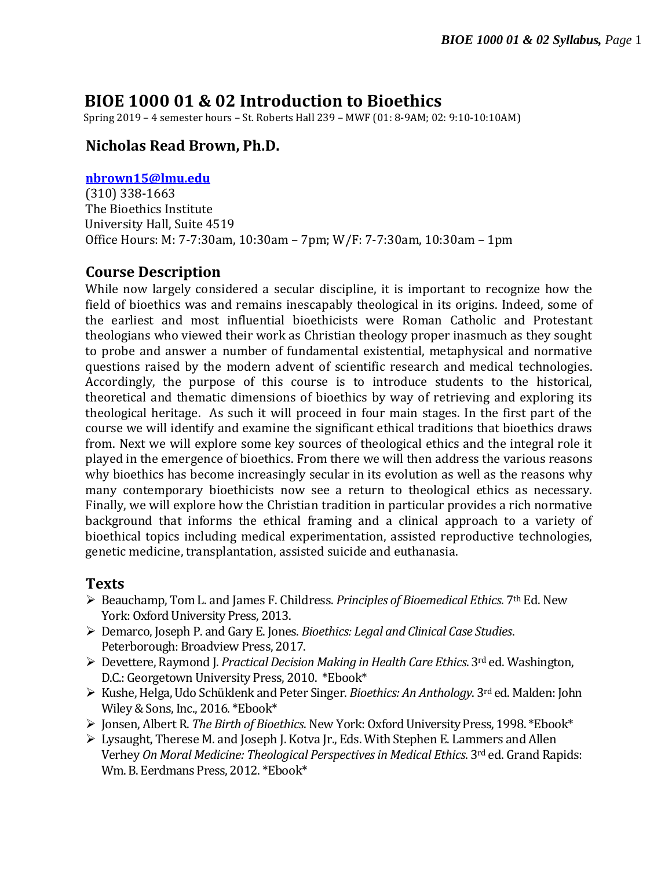# **BIOE 1000 01 & 02 Introduction to Bioethics**

Spring 2019 – 4 semester hours – St. Roberts Hall 239 – MWF (01: 8-9AM; 02: 9:10-10:10AM)

### **Nicholas Read Brown, Ph.D.**

#### **[nbrown15@lmu.edu](mailto:nbrown15@lmu.edu)**

(310) 338-1663 The Bioethics Institute University Hall, Suite 4519 Office Hours: M: 7-7:30am, 10:30am – 7pm; W/F: 7-7:30am, 10:30am – 1pm

#### **Course Description**

While now largely considered a secular discipline, it is important to recognize how the field of bioethics was and remains inescapably theological in its origins. Indeed, some of the earliest and most influential bioethicists were Roman Catholic and Protestant theologians who viewed their work as Christian theology proper inasmuch as they sought to probe and answer a number of fundamental existential, metaphysical and normative questions raised by the modern advent of scientific research and medical technologies. Accordingly, the purpose of this course is to introduce students to the historical, theoretical and thematic dimensions of bioethics by way of retrieving and exploring its theological heritage. As such it will proceed in four main stages. In the first part of the course we will identify and examine the significant ethical traditions that bioethics draws from. Next we will explore some key sources of theological ethics and the integral role it played in the emergence of bioethics. From there we will then address the various reasons why bioethics has become increasingly secular in its evolution as well as the reasons why many contemporary bioethicists now see a return to theological ethics as necessary. Finally, we will explore how the Christian tradition in particular provides a rich normative background that informs the ethical framing and a clinical approach to a variety of bioethical topics including medical experimentation, assisted reproductive technologies, genetic medicine, transplantation, assisted suicide and euthanasia.

#### **Texts**

- Beauchamp, Tom L. and James F. Childress. *Principles of Bioemedical Ethics*. 7th Ed. New York: Oxford University Press, 2013.
- Demarco, Joseph P. and Gary E. Jones. *Bioethics: Legal and Clinical Case Studies*. Peterborough: Broadview Press, 2017.
- Devettere, Raymond J. *Practical Decision Making in Health Care Ethics*. 3rd ed. Washington, D.C.: Georgetown University Press, 2010. \*Ebook\*
- Kushe, Helga, Udo Schüklenk and Peter Singer. *Bioethics: An Anthology*. 3rd ed. Malden: John Wiley & Sons, Inc., 2016. \*Ebook\*
- Jonsen, Albert R. *The Birth of Bioethics*. New York: Oxford University Press, 1998. \*Ebook\*
- Lysaught, Therese M. and Joseph J. Kotva Jr., Eds. With Stephen E. Lammers and Allen Verhey *On Moral Medicine: Theological Perspectives in Medical Ethics*. 3rd ed. Grand Rapids: Wm. B. Eerdmans Press, 2012. \*Ebook\*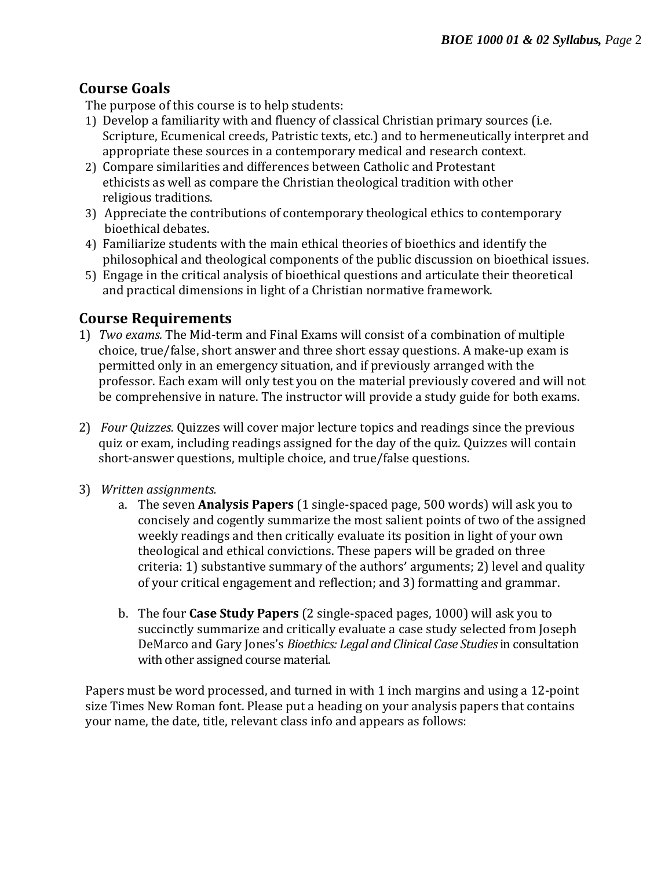## **Course Goals**

The purpose of this course is to help students:

- 1) Develop a familiarity with and fluency of classical Christian primary sources (i.e. Scripture, Ecumenical creeds, Patristic texts, etc.) and to hermeneutically interpret and appropriate these sources in a contemporary medical and research context.
- 2) Compare similarities and differences between Catholic and Protestant ethicists as well as compare the Christian theological tradition with other religious traditions.
- 3) Appreciate the contributions of contemporary theological ethics to contemporary bioethical debates.
- 4) Familiarize students with the main ethical theories of bioethics and identify the philosophical and theological components of the public discussion on bioethical issues.
- 5) Engage in the critical analysis of bioethical questions and articulate their theoretical and practical dimensions in light of a Christian normative framework.

#### **Course Requirements**

- 1) *Two exams.* The Mid-term and Final Exams will consist of a combination of multiple choice, true/false, short answer and three short essay questions. A make-up exam is permitted only in an emergency situation, and if previously arranged with the professor. Each exam will only test you on the material previously covered and will not be comprehensive in nature. The instructor will provide a study guide for both exams.
- 2) *Four Quizzes.* Quizzes will cover major lecture topics and readings since the previous quiz or exam, including readings assigned for the day of the quiz. Quizzes will contain short-answer questions, multiple choice, and true/false questions.
- 3) *Written assignments.* 
	- a. The seven **Analysis Papers** (1 single-spaced page, 500 words) will ask you to concisely and cogently summarize the most salient points of two of the assigned weekly readings and then critically evaluate its position in light of your own theological and ethical convictions. These papers will be graded on three criteria: 1) substantive summary of the authors' arguments; 2) level and quality of your critical engagement and reflection; and 3) formatting and grammar.
	- b. The four **Case Study Papers** (2 single-spaced pages, 1000) will ask you to succinctly summarize and critically evaluate a case study selected from Joseph DeMarco and Gary Jones's *Bioethics: Legal and Clinical Case Studies*in consultation with other assigned course material.

Papers must be word processed, and turned in with 1 inch margins and using a 12-point size Times New Roman font. Please put a heading on your analysis papers that contains your name, the date, title, relevant class info and appears as follows: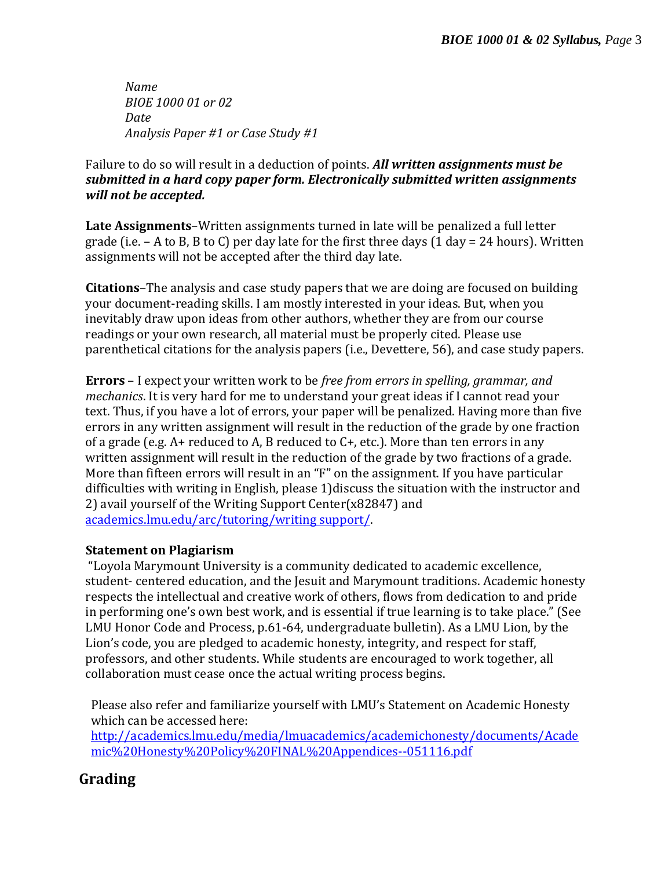*Name BIOE 1000 01 or 02 Date Analysis Paper #1 or Case Study #1*

Failure to do so will result in a deduction of points. *All written assignments must be submitted in a hard copy paper form. Electronically submitted written assignments will not be accepted.* 

**Late Assignments**–Written assignments turned in late will be penalized a full letter grade (i.e.  $-$  A to B, B to C) per day late for the first three days (1 day = 24 hours). Written assignments will not be accepted after the third day late.

**Citations***–*The analysis and case study papers that we are doing are focused on building your document-reading skills. I am mostly interested in your ideas. But, when you inevitably draw upon ideas from other authors, whether they are from our course readings or your own research, all material must be properly cited. Please use parenthetical citations for the analysis papers (i.e., Devettere, 56), and case study papers.

**Errors** – I expect your written work to be *free from errors in spelling, grammar, and mechanics*. It is very hard for me to understand your great ideas if I cannot read your text. Thus, if you have a lot of errors, your paper will be penalized. Having more than five errors in any written assignment will result in the reduction of the grade by one fraction of a grade (e.g.  $A+$  reduced to  $A$ ,  $B$  reduced to  $C+$ , etc.). More than ten errors in any written assignment will result in the reduction of the grade by two fractions of a grade. More than fifteen errors will result in an "F" on the assignment. If you have particular difficulties with writing in English, please 1)discuss the situation with the instructor and 2) avail yourself of the Writing Support Center(x82847) and [academics.lmu.edu/arc/tutoring/writing support/.](../../../Spring%202018/BIOE%201000/AppData/Local/Box/Box%20Edit/Documents/AppData/Local/Box/Box%20Edit/Documents/AppData/Local/Box/Box%20Edit/nbrown15/AppData/Local/Microsoft/Windows/Temporary%20Internet%20Files/nbrown15/AppData/Local/Microsoft/Windows/Temporary%20Internet%20Files/Content.Outlook/9QOJDLSB/academics.lmu.edu/arc/tutoring/writing%20support/)

#### **Statement on Plagiarism**

"Loyola Marymount University is a community dedicated to academic excellence, student- centered education, and the Jesuit and Marymount traditions. Academic honesty respects the intellectual and creative work of others, flows from dedication to and pride in performing one's own best work, and is essential if true learning is to take place." (See LMU Honor Code and Process, p.61-64, undergraduate bulletin). As a LMU Lion, by the Lion's code, you are pledged to academic honesty, integrity, and respect for staff, professors, and other students. While students are encouraged to work together, all collaboration must cease once the actual writing process begins.

Please also refer and familiarize yourself with LMU's Statement on Academic Honesty which can be accessed here:

[http://academics.lmu.edu/media/lmuacademics/academichonesty/documents/Acade](http://academics.lmu.edu/media/lmuacademics/academichonesty/documents/Academic%20Honesty%20Policy%20FINAL%20Appendices--051116.pdf) [mic%20Honesty%20Policy%20FINAL%20Appendices--051116.pdf](http://academics.lmu.edu/media/lmuacademics/academichonesty/documents/Academic%20Honesty%20Policy%20FINAL%20Appendices--051116.pdf)

## **Grading**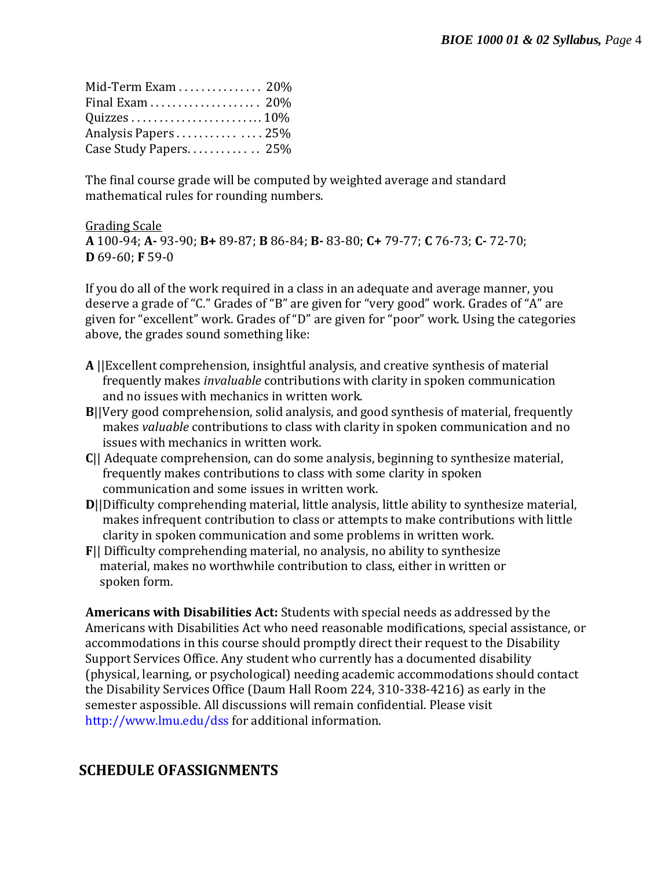| Mid-Term Exam  20%    |  |
|-----------------------|--|
|                       |  |
|                       |  |
| Analysis Papers25%    |  |
| Case Study Papers 25% |  |

The final course grade will be computed by weighted average and standard mathematical rules for rounding numbers.

Grading Scale **A** 100-94; **A-** 93-90; **B+** 89-87; **B** 86-84; **B-** 83-80; **C+** 79-77; **C** 76-73; **C-** 72-70; **D** 69-60; **F** 59-0

If you do all of the work required in a class in an adequate and average manner, you deserve a grade of "C." Grades of "B" are given for "very good" work. Grades of "A" are given for "excellent" work. Grades of "D" are given for "poor" work. Using the categories above, the grades sound something like:

- **A** ||Excellent comprehension, insightful analysis, and creative synthesis of material frequently makes *invaluable* contributions with clarity in spoken communication and no issues with mechanics in written work.
- **B**||Very good comprehension, solid analysis, and good synthesis of material, frequently makes *valuable* contributions to class with clarity in spoken communication and no issues with mechanics in written work.
- **C**|| Adequate comprehension, can do some analysis, beginning to synthesize material, frequently makes contributions to class with some clarity in spoken communication and some issues in written work.
- **D**||Difficulty comprehending material, little analysis, little ability to synthesize material, makes infrequent contribution to class or attempts to make contributions with little clarity in spoken communication and some problems in written work.
- **F**|| Difficulty comprehending material, no analysis, no ability to synthesize material, makes no worthwhile contribution to class, either in written or spoken form.

**Americans with Disabilities Act:** Students with special needs as addressed by the Americans with Disabilities Act who need reasonable modifications, special assistance, or accommodations in this course should promptly direct their request to the Disability Support Services Office. Any student who currently has a documented disability (physical, learning, or psychological) needing academic accommodations should contact the Disability Services Office (Daum Hall Room 224, 310-338-4216) as early in the semester aspossible. All discussions will remain confidential. Please visit <http://www.lmu.edu/dss> for additional information.

## **SCHEDULE OFASSIGNMENTS**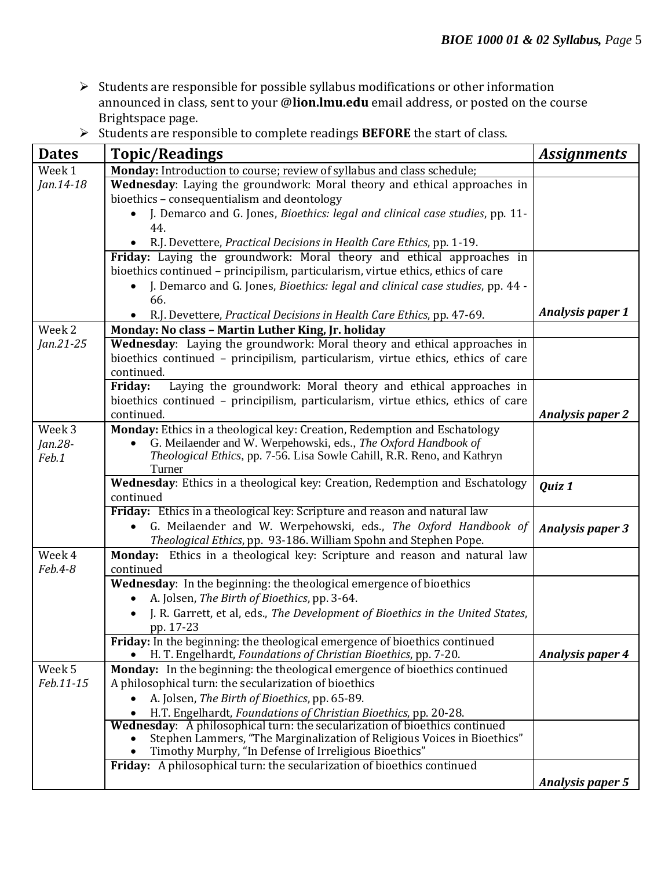- $\triangleright$  Students are responsible for possible syllabus modifications or other information announced in class, sent to your @**lion.lmu.edu** email address, or posted on the course Brightspace page.
- Students are responsible to complete readings **BEFORE** the start of class.

| <b>Dates</b> | <b>Topic/Readings</b>                                                                                                                                 | <b>Assignments</b>      |
|--------------|-------------------------------------------------------------------------------------------------------------------------------------------------------|-------------------------|
| Week 1       | Monday: Introduction to course; review of syllabus and class schedule;                                                                                |                         |
| Jan.14-18    | Wednesday: Laying the groundwork: Moral theory and ethical approaches in                                                                              |                         |
|              | bioethics - consequentialism and deontology                                                                                                           |                         |
|              | J. Demarco and G. Jones, Bioethics: legal and clinical case studies, pp. 11-                                                                          |                         |
|              | 44.                                                                                                                                                   |                         |
|              | R.J. Devettere, Practical Decisions in Health Care Ethics, pp. 1-19.                                                                                  |                         |
|              | Friday: Laying the groundwork: Moral theory and ethical approaches in                                                                                 |                         |
|              | bioethics continued - principilism, particularism, virtue ethics, ethics of care                                                                      |                         |
|              | J. Demarco and G. Jones, Bioethics: legal and clinical case studies, pp. 44 -                                                                         |                         |
|              | 66.                                                                                                                                                   |                         |
|              | R.J. Devettere, Practical Decisions in Health Care Ethics, pp. 47-69.                                                                                 | <b>Analysis paper 1</b> |
| Week 2       | Monday: No class - Martin Luther King, Jr. holiday                                                                                                    |                         |
| Jan.21-25    | Wednesday: Laying the groundwork: Moral theory and ethical approaches in                                                                              |                         |
|              | bioethics continued - principilism, particularism, virtue ethics, ethics of care                                                                      |                         |
|              | continued.                                                                                                                                            |                         |
|              | Laying the groundwork: Moral theory and ethical approaches in<br>Friday:                                                                              |                         |
|              | bioethics continued - principilism, particularism, virtue ethics, ethics of care                                                                      |                         |
|              | continued.                                                                                                                                            | <b>Analysis paper 2</b> |
| Week 3       | Monday: Ethics in a theological key: Creation, Redemption and Eschatology                                                                             |                         |
| Jan.28-      | G. Meilaender and W. Werpehowski, eds., The Oxford Handbook of<br>$\bullet$                                                                           |                         |
| Feb.1        | Theological Ethics, pp. 7-56. Lisa Sowle Cahill, R.R. Reno, and Kathryn<br>Turner                                                                     |                         |
|              | Wednesday: Ethics in a theological key: Creation, Redemption and Eschatology                                                                          | Quiz 1                  |
|              | continued                                                                                                                                             |                         |
|              | <b>Friday:</b> Ethics in a theological key: Scripture and reason and natural law                                                                      |                         |
|              | G. Meilaender and W. Werpehowski, eds., The Oxford Handbook of<br>$\bullet$                                                                           | <b>Analysis paper 3</b> |
|              | Theological Ethics, pp. 93-186. William Spohn and Stephen Pope.                                                                                       |                         |
| Week 4       | Monday: Ethics in a theological key: Scripture and reason and natural law                                                                             |                         |
| Feb.4-8      | continued                                                                                                                                             |                         |
|              | Wednesday: In the beginning: the theological emergence of bioethics                                                                                   |                         |
|              | A. Jolsen, The Birth of Bioethics, pp. 3-64.<br>$\bullet$                                                                                             |                         |
|              | J. R. Garrett, et al, eds., The Development of Bioethics in the United States,                                                                        |                         |
|              | pp. 17-23                                                                                                                                             |                         |
|              | Friday: In the beginning: the theological emergence of bioethics continued                                                                            |                         |
|              | H. T. Engelhardt, Foundations of Christian Bioethics, pp. 7-20.                                                                                       | <b>Analysis paper 4</b> |
| Week 5       | Monday: In the beginning: the theological emergence of bioethics continued                                                                            |                         |
| Feb.11-15    | A philosophical turn: the secularization of bioethics                                                                                                 |                         |
|              | A. Jolsen, The Birth of Bioethics, pp. 65-89.                                                                                                         |                         |
|              | H.T. Engelhardt, Foundations of Christian Bioethics, pp. 20-28.                                                                                       |                         |
|              | Wednesday: A philosophical turn: the secularization of bioethics continued<br>Stephen Lammers, "The Marginalization of Religious Voices in Bioethics" |                         |
|              | Timothy Murphy, "In Defense of Irreligious Bioethics"                                                                                                 |                         |
|              | Friday: A philosophical turn: the secularization of bioethics continued                                                                               |                         |
|              |                                                                                                                                                       | <b>Analysis paper 5</b> |
|              |                                                                                                                                                       |                         |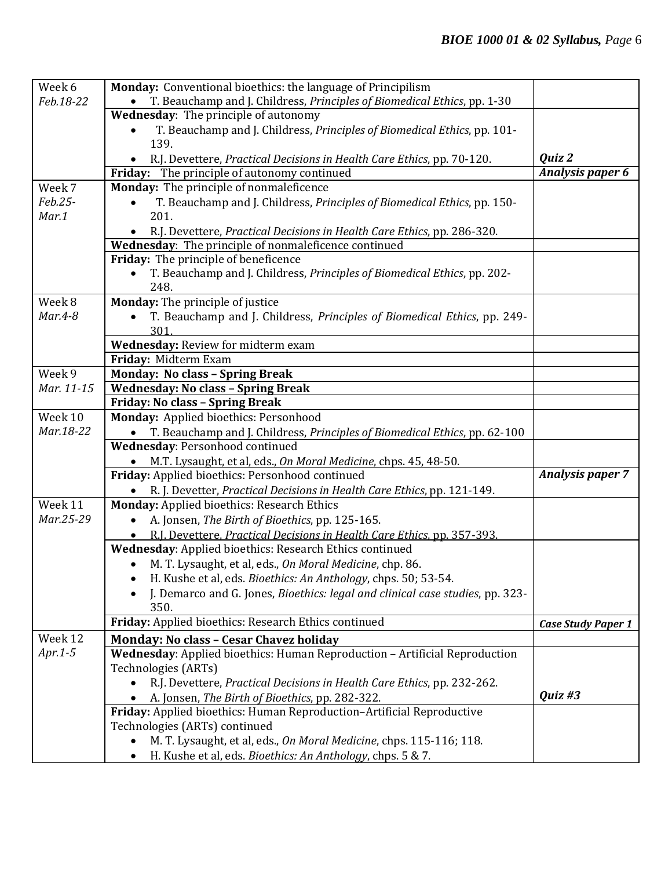| Week 6     | Monday: Conventional bioethics: the language of Principilism                          |                           |
|------------|---------------------------------------------------------------------------------------|---------------------------|
| Feb.18-22  | T. Beauchamp and J. Childress, Principles of Biomedical Ethics, pp. 1-30              |                           |
|            | <b>Wednesday:</b> The principle of autonomy                                           |                           |
|            | T. Beauchamp and J. Childress, Principles of Biomedical Ethics, pp. 101-<br>$\bullet$ |                           |
|            | 139.                                                                                  |                           |
|            | R.J. Devettere, Practical Decisions in Health Care Ethics, pp. 70-120.                | Quiz 2                    |
|            | Friday: The principle of autonomy continued                                           | <b>Analysis paper 6</b>   |
| Week 7     | Monday: The principle of nonmaleficence                                               |                           |
| Feb.25-    | T. Beauchamp and J. Childress, Principles of Biomedical Ethics, pp. 150-              |                           |
| Mar.1      | 201.                                                                                  |                           |
|            | R.J. Devettere, Practical Decisions in Health Care Ethics, pp. 286-320.               |                           |
|            | Wednesday: The principle of nonmaleficence continued                                  |                           |
|            | Friday: The principle of beneficence                                                  |                           |
|            | T. Beauchamp and J. Childress, Principles of Biomedical Ethics, pp. 202-              |                           |
|            | 248.                                                                                  |                           |
| Week 8     | Monday: The principle of justice                                                      |                           |
| $Mar.4-8$  | T. Beauchamp and J. Childress, Principles of Biomedical Ethics, pp. 249-              |                           |
|            | 301.                                                                                  |                           |
|            | Wednesday: Review for midterm exam                                                    |                           |
|            | Friday: Midterm Exam                                                                  |                           |
| Week 9     | <b>Monday: No class - Spring Break</b>                                                |                           |
| Mar. 11-15 | <b>Wednesday: No class - Spring Break</b>                                             |                           |
|            | Friday: No class - Spring Break                                                       |                           |
| Week 10    | Monday: Applied bioethics: Personhood                                                 |                           |
| Mar.18-22  | T. Beauchamp and J. Childress, Principles of Biomedical Ethics, pp. 62-100            |                           |
|            | Wednesday: Personhood continued                                                       |                           |
|            | M.T. Lysaught, et al, eds., On Moral Medicine, chps. 45, 48-50.                       |                           |
|            | Friday: Applied bioethics: Personhood continued                                       | <b>Analysis paper 7</b>   |
|            | R. J. Devetter, Practical Decisions in Health Care Ethics, pp. 121-149.               |                           |
| Week 11    | Monday: Applied bioethics: Research Ethics                                            |                           |
| Mar.25-29  | A. Jonsen, The Birth of Bioethics, pp. 125-165.                                       |                           |
|            | R.J. Devettere, Practical Decisions in Health Care Ethics, pp. 357-393.               |                           |
|            | Wednesday: Applied bioethics: Research Ethics continued                               |                           |
|            | M. T. Lysaught, et al, eds., On Moral Medicine, chp. 86.<br>$\bullet$                 |                           |
|            | H. Kushe et al, eds. <i>Bioethics: An Anthology</i> , chps. 50; 53-54.                |                           |
|            | J. Demarco and G. Jones, Bioethics: legal and clinical case studies, pp. 323-         |                           |
|            | 350.                                                                                  |                           |
|            | Friday: Applied bioethics: Research Ethics continued                                  | <b>Case Study Paper 1</b> |
| Week 12    | <b>Monday: No class - Cesar Chavez holiday</b>                                        |                           |
| $Apr.1-5$  | Wednesday: Applied bioethics: Human Reproduction - Artificial Reproduction            |                           |
|            | Technologies (ARTs)                                                                   |                           |
|            | R.J. Devettere, Practical Decisions in Health Care Ethics, pp. 232-262.               |                           |
|            | A. Jonsen, The Birth of Bioethics, pp. 282-322.                                       | Quiz #3                   |
|            | Friday: Applied bioethics: Human Reproduction-Artificial Reproductive                 |                           |
|            | Technologies (ARTs) continued                                                         |                           |
|            | M. T. Lysaught, et al, eds., On Moral Medicine, chps. 115-116; 118.                   |                           |
|            | H. Kushe et al, eds. Bioethics: An Anthology, chps. 5 & 7.                            |                           |